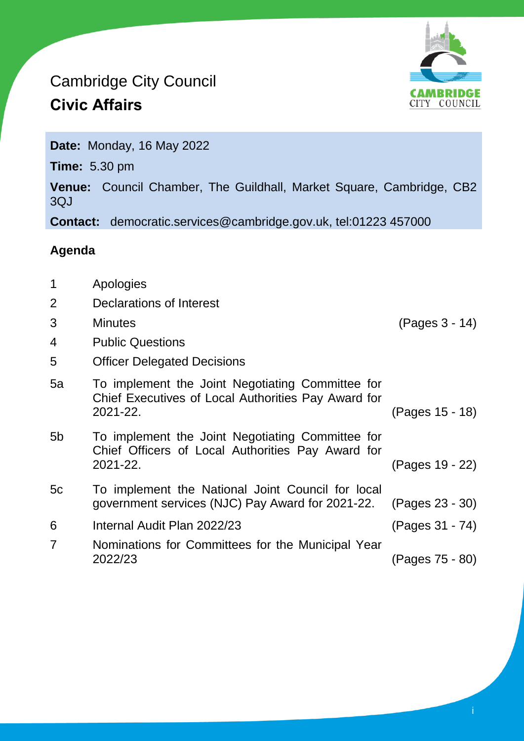## Cambridge City Council **Civic Affairs**



**Date:** Monday, 16 May 2022

**Time:** 5.30 pm

**Venue:** Council Chamber, The Guildhall, Market Square, Cambridge, CB2 3QJ

**Contact:** democratic.services@cambridge.gov.uk, tel:01223 457000

## **Agenda**

1 Apologies 2 Declarations of Interest 3 Minutes (Pages 3 - 14) 4 Public Questions 5 Officer Delegated Decisions 5a To implement the Joint Negotiating Committee for Chief Executives of Local Authorities Pay Award for 2021-22. (Pages 15 - 18) 5b To implement the Joint Negotiating Committee for Chief Officers of Local Authorities Pay Award for 2021-22. (Pages 19 - 22) 5c To implement the National Joint Council for local government services (NJC) Pay Award for 2021-22. (Pages 23 - 30) 6 Internal Audit Plan 2022/23 (Pages 31 - 74) 7 Nominations for Committees for the Municipal Year 2022/23 (Pages 75 - 80)